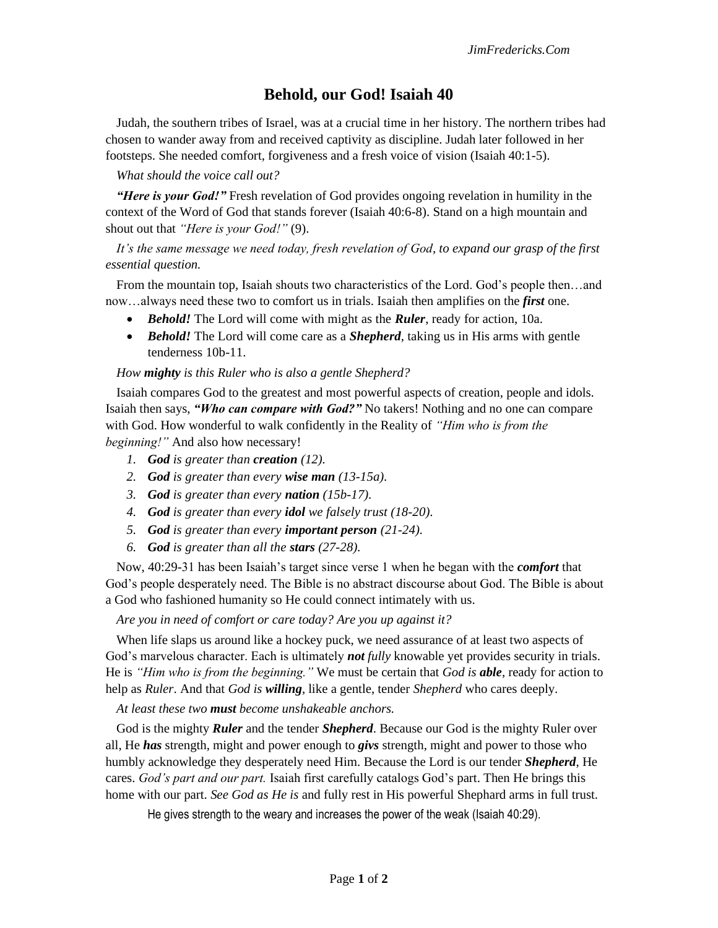# **Behold, our God! Isaiah 40**

Judah, the southern tribes of Israel, was at a crucial time in her history. The northern tribes had chosen to wander away from and received captivity as discipline. Judah later followed in her footsteps. She needed comfort, forgiveness and a fresh voice of vision (Isaiah 40:1-5).

## *What should the voice call out?*

*"Here is your God!"* Fresh revelation of God provides ongoing revelation in humility in the context of the Word of God that stands forever (Isaiah 40:6-8). Stand on a high mountain and shout out that *"Here is your God!"* (9).

## *It's the same message we need today, fresh revelation of God, to expand our grasp of the first essential question.*

From the mountain top, Isaiah shouts two characteristics of the Lord. God's people then…and now…always need these two to comfort us in trials. Isaiah then amplifies on the *first* one.

- *Behold!* The Lord will come with might as the *Ruler*, ready for action, 10a.
- *Behold!* The Lord will come care as a *Shepherd*, taking us in His arms with gentle tenderness 10b-11.

### *How mighty is this Ruler who is also a gentle Shepherd?*

Isaiah compares God to the greatest and most powerful aspects of creation, people and idols. Isaiah then says, *"Who can compare with God?"* No takers! Nothing and no one can compare with God. How wonderful to walk confidently in the Reality of *"Him who is from the beginning!"* And also how necessary!

- *1. God is greater than creation (12).*
- *2. God is greater than every wise man (13-15a).*
- *3. God is greater than every nation (15b-17).*
- *4. God is greater than every idol we falsely trust (18-20).*
- *5. God is greater than every important person (21-24).*
- *6. God is greater than all the stars (27-28).*

Now, 40:29-31 has been Isaiah's target since verse 1 when he began with the *comfort* that God's people desperately need. The Bible is no abstract discourse about God. The Bible is about a God who fashioned humanity so He could connect intimately with us.

*Are you in need of comfort or care today? Are you up against it?*

When life slaps us around like a hockey puck, we need assurance of at least two aspects of God's marvelous character. Each is ultimately *not fully* knowable yet provides security in trials. He is *"Him who is from the beginning."* We must be certain that *God is able*, ready for action to help as *Ruler*. And that *God is willing*, like a gentle, tender *Shepherd* who cares deeply.

*At least these two must become unshakeable anchors.*

God is the mighty *Ruler* and the tender *Shepherd*. Because our God is the mighty Ruler over all, He *has* strength, might and power enough to *givs* strength, might and power to those who humbly acknowledge they desperately need Him. Because the Lord is our tender *Shepherd*, He cares. *God's part and our part.* Isaiah first carefully catalogs God's part. Then He brings this home with our part. *See God as He is* and fully rest in His powerful Shephard arms in full trust.

He gives strength to the weary and increases the power of the weak (Isaiah 40:29).